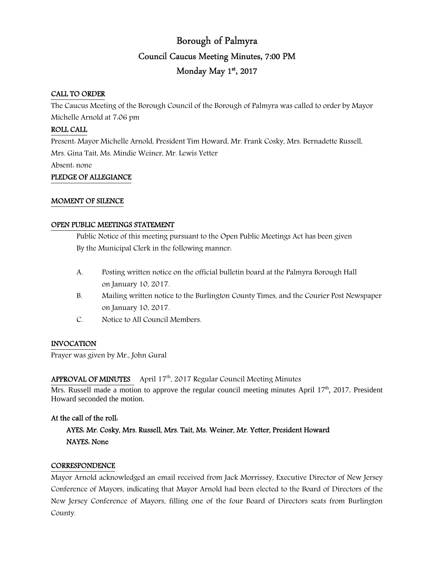# Borough of Palmyra Council Caucus Meeting Minutes, 7:00 PM Monday May 1st, 2017

# CALL TO ORDER

The Caucus Meeting of the Borough Council of the Borough of Palmyra was called to order by Mayor Michelle Arnold at 7:06 pm

# ROLL CALL

Present: Mayor Michelle Arnold, President Tim Howard, Mr. Frank Cosky, Mrs. Bernadette Russell, Mrs. Gina Tait, Ms. Mindie Weiner, Mr. Lewis Yetter Absent: none

# PLEDGE OF ALLEGIANCE

#### MOMENT OF SILENCE

#### OPEN PUBLIC MEETINGS STATEMENT

 Public Notice of this meeting pursuant to the Open Public Meetings Act has been given By the Municipal Clerk in the following manner:

- A. Posting written notice on the official bulletin board at the Palmyra Borough Hall on January 10, 2017.
- B. Mailing written notice to the Burlington County Times, and the Courier Post Newspaper on January 10, 2017.
- C. Notice to All Council Members.

# INVOCATION

Prayer was given by Mr., John Gural

# APPROVAL OF MINUTES April  $17<sup>th</sup>$ , 2017 Regular Council Meeting Minutes

Mrs. Russell made a motion to approve the regular council meeting minutes April  $17<sup>th</sup>$ , 2017. President Howard seconded the motion.

# At the call of the roll:

# AYES: Mr. Cosky, Mrs. Russell, Mrs. Tait, Ms. Weiner, Mr. Yetter, President Howard NAYES: None

# **CORRESPONDENCE**

Mayor Arnold acknowledged an email received from Jack Morrissey, Executive Director of New Jersey Conference of Mayors, indicating that Mayor Arnold had been elected to the Board of Directors of the New Jersey Conference of Mayors, filling one of the four Board of Directors seats from Burlington County.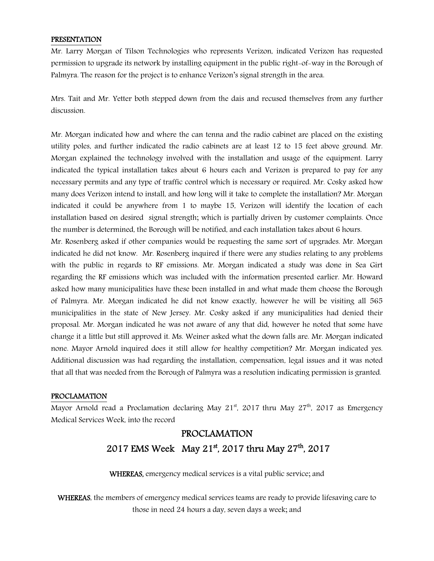#### PRESENTATION

Mr. Larry Morgan of Tilson Technologies who represents Verizon, indicated Verizon has requested permission to upgrade its network by installing equipment in the public right-of-way in the Borough of Palmyra. The reason for the project is to enhance Verizon's signal strength in the area.

Mrs. Tait and Mr. Yetter both stepped down from the dais and recused themselves from any further discussion.

Mr. Morgan indicated how and where the can tenna and the radio cabinet are placed on the existing utility poles, and further indicated the radio cabinets are at least 12 to 15 feet above ground. Mr. Morgan explained the technology involved with the installation and usage of the equipment. Larry indicated the typical installation takes about 6 hours each and Verizon is prepared to pay for any necessary permits and any type of traffic control which is necessary or required. Mr. Cosky asked how many does Verizon intend to install, and how long will it take to complete the installation? Mr. Morgan indicated it could be anywhere from 1 to maybe 15, Verizon will identify the location of each installation based on desired signal strength; which is partially driven by customer complaints. Once the number is determined, the Borough will be notified, and each installation takes about 6 hours.

Mr. Rosenberg asked if other companies would be requesting the same sort of upgrades. Mr. Morgan indicated he did not know. Mr. Rosenberg inquired if there were any studies relating to any problems with the public in regards to RF emissions. Mr. Morgan indicated a study was done in Sea Girt regarding the RF emissions which was included with the information presented earlier. Mr. Howard asked how many municipalities have these been installed in and what made them choose the Borough of Palmyra. Mr. Morgan indicated he did not know exactly, however he will be visiting all 565 municipalities in the state of New Jersey. Mr. Cosky asked if any municipalities had denied their proposal. Mr. Morgan indicated he was not aware of any that did, however he noted that some have change it a little but still approved it. Ms. Weiner asked what the down falls are. Mr. Morgan indicated none. Mayor Arnold inquired does it still allow for healthy competition? Mr. Morgan indicated yes. Additional discussion was had regarding the installation, compensation, legal issues and it was noted that all that was needed from the Borough of Palmyra was a resolution indicating permission is granted.

#### PROCLAMATION

Mayor Arnold read a Proclamation declaring May  $21<sup>st</sup>$ , 2017 thru May  $27<sup>th</sup>$ , 2017 as Emergency Medical Services Week, into the record

# PROCLAMATION 2017 EMS Week May 21<sup>st</sup>, 2017 thru May 27<sup>th</sup>, 2017

WHEREAS, emergency medical services is a vital public service; and

WHEREAS, the members of emergency medical services teams are ready to provide lifesaving care to those in need 24 hours a day, seven days a week; and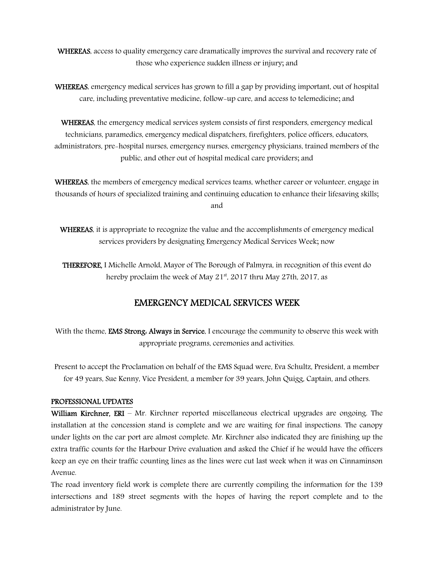WHEREAS, access to quality emergency care dramatically improves the survival and recovery rate of those who experience sudden illness or injury; and

WHEREAS, emergency medical services has grown to fill a gap by providing important, out of hospital care, including preventative medicine, follow-up care, and access to telemedicine; and

WHEREAS, the emergency medical services system consists of first responders, emergency medical technicians, paramedics, emergency medical dispatchers, firefighters, police officers, educators, administrators, pre-hospital nurses, emergency nurses, emergency physicians, trained members of the public, and other out of hospital medical care providers; and

WHEREAS, the members of emergency medical services teams, whether career or volunteer, engage in thousands of hours of specialized training and continuing education to enhance their lifesaving skills; and

WHEREAS, it is appropriate to recognize the value and the accomplishments of emergency medical services providers by designating Emergency Medical Services Week; now

THEREFORE, I Michelle Arnold, Mayor of The Borough of Palmyra, in recognition of this event do hereby proclaim the week of May  $21^{st}$ , 2017 thru May 27th, 2017, as

# EMERGENCY MEDICAL SERVICES WEEK

With the theme, **EMS Strong. Always in Service**, I encourage the community to observe this week with appropriate programs, ceremonies and activities.

Present to accept the Proclamation on behalf of the EMS Squad were, Eva Schultz, President, a member for 49 years, Sue Kenny, Vice President, a member for 39 years, John Quigg, Captain, and others.

# PROFESSIONAL UPDATES

William Kirchner, ERI – Mr. Kirchner reported miscellaneous electrical upgrades are ongoing. The installation at the concession stand is complete and we are waiting for final inspections. The canopy under lights on the car port are almost complete. Mr. Kirchner also indicated they are finishing up the extra traffic counts for the Harbour Drive evaluation and asked the Chief if he would have the officers keep an eye on their traffic counting lines as the lines were cut last week when it was on Cinnaminson Avenue.

The road inventory field work is complete there are currently compiling the information for the 139 intersections and 189 street segments with the hopes of having the report complete and to the administrator by June.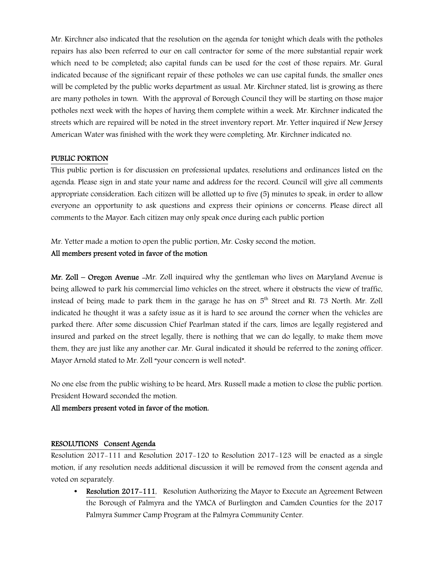Mr. Kirchner also indicated that the resolution on the agenda for tonight which deals with the potholes repairs has also been referred to our on call contractor for some of the more substantial repair work which need to be completed; also capital funds can be used for the cost of those repairs. Mr. Gural indicated because of the significant repair of these potholes we can use capital funds, the smaller ones will be completed by the public works department as usual. Mr. Kirchner stated, list is growing as there are many potholes in town. With the approval of Borough Council they will be starting on those major potholes next week with the hopes of having them complete within a week. Mr. Kirchner indicated the streets which are repaired will be noted in the street inventory report. Mr. Yetter inquired if New Jersey American Water was finished with the work they were completing. Mr. Kirchner indicated no.

#### PUBLIC PORTION

This public portion is for discussion on professional updates, resolutions and ordinances listed on the agenda. Please sign in and state your name and address for the record. Council will give all comments appropriate consideration. Each citizen will be allotted up to five (5) minutes to speak, in order to allow everyone an opportunity to ask questions and express their opinions or concerns. Please direct all comments to the Mayor. Each citizen may only speak once during each public portion

Mr. Yetter made a motion to open the public portion, Mr. Cosky second the motion.

# All members present voted in favor of the motion

Mr. Zoll – Oregon Avenue -Mr. Zoll inquired why the gentleman who lives on Maryland Avenue is being allowed to park his commercial limo vehicles on the street, where it obstructs the view of traffic, instead of being made to park them in the garage he has on  $5<sup>th</sup>$  Street and Rt. 73 North. Mr. Zoll indicated he thought it was a safety issue as it is hard to see around the corner when the vehicles are parked there. After some discussion Chief Pearlman stated if the cars, limos are legally registered and insured and parked on the street legally, there is nothing that we can do legally, to make them move them, they are just like any another car. Mr. Gural indicated it should be referred to the zoning officer. Mayor Arnold stated to Mr. Zoll "your concern is well noted".

No one else from the public wishing to be heard, Mrs. Russell made a motion to close the public portion. President Howard seconded the motion.

All members present voted in favor of the motion.

#### RESOLUTIONS Consent Agenda

Resolution 2017-111 and Resolution 2017-120 to Resolution 2017-123 will be enacted as a single motion, if any resolution needs additional discussion it will be removed from the consent agenda and voted on separately.

• Resolution 2017-111, Resolution Authorizing the Mayor to Execute an Agreement Between the Borough of Palmyra and the YMCA of Burlington and Camden Counties for the 2017 Palmyra Summer Camp Program at the Palmyra Community Center.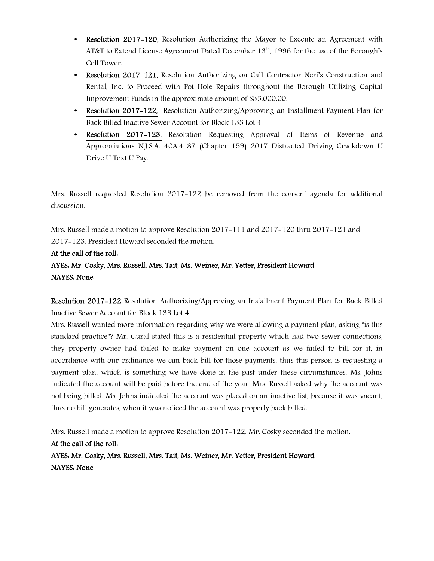- Resolution 2017–120, Resolution Authorizing the Mayor to Execute an Agreement with AT&T to Extend License Agreement Dated December  $13<sup>th</sup>$ , 1996 for the use of the Borough's Cell Tower.
- Resolution 2017–121, Resolution Authorizing on Call Contractor Neri's Construction and Rental, Inc. to Proceed with Pot Hole Repairs throughout the Borough Utilizing Capital Improvement Funds in the approximate amount of \$35,000.00.
- Resolution 2017-122, Resolution Authorizing/Approving an Installment Payment Plan for Back Billed Inactive Sewer Account for Block 133 Lot 4
- Resolution 2017-123, Resolution Requesting Approval of Items of Revenue and Appropriations N.J.S.A. 40A:4-87 (Chapter 159) 2017 Distracted Driving Crackdown U Drive U Text U Pay.

Mrs. Russell requested Resolution 2017-122 be removed from the consent agenda for additional discussion.

Mrs. Russell made a motion to approve Resolution 2017-111 and 2017-120 thru 2017-121 and 2017-123. President Howard seconded the motion.

At the call of the roll: AYES: Mr. Cosky, Mrs. Russell, Mrs. Tait, Ms. Weiner, Mr. Yetter, President Howard NAYES: None

Resolution 2017-122 Resolution Authorizing/Approving an Installment Payment Plan for Back Billed Inactive Sewer Account for Block 133 Lot 4

Mrs. Russell wanted more information regarding why we were allowing a payment plan, asking "is this standard practice"? Mr. Gural stated this is a residential property which had two sewer connections, they property owner had failed to make payment on one account as we failed to bill for it, in accordance with our ordinance we can back bill for those payments, thus this person is requesting a payment plan, which is something we have done in the past under these circumstances. Ms. Johns indicated the account will be paid before the end of the year. Mrs. Russell asked why the account was not being billed. Ms. Johns indicated the account was placed on an inactive list, because it was vacant, thus no bill generates, when it was noticed the account was properly back billed.

Mrs. Russell made a motion to approve Resolution 2017-122. Mr. Cosky seconded the motion. At the call of the roll: AYES: Mr. Cosky, Mrs. Russell, Mrs. Tait, Ms. Weiner, Mr. Yetter, President Howard NAYES: None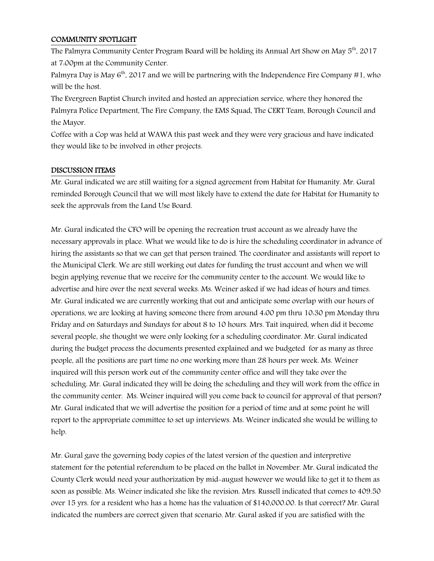#### COMMUNITY SPOTLIGHT

The Palmyra Community Center Program Board will be holding its Annual Art Show on May 5<sup>th</sup>, 2017 at 7:00pm at the Community Center.

Palmyra Day is May  $6<sup>th</sup>$ , 2017 and we will be partnering with the Independence Fire Company #1, who will be the host.

The Evergreen Baptist Church invited and hosted an appreciation service, where they honored the Palmyra Police Department, The Fire Company, the EMS Squad, The CERT Team, Borough Council and the Mayor.

Coffee with a Cop was held at WAWA this past week and they were very gracious and have indicated they would like to be involved in other projects.

# DISCUSSION ITEMS

Mr. Gural indicated we are still waiting for a signed agreement from Habitat for Humanity. Mr. Gural reminded Borough Council that we will most likely have to extend the date for Habitat for Humanity to seek the approvals from the Land Use Board.

Mr. Gural indicated the CFO will be opening the recreation trust account as we already have the necessary approvals in place. What we would like to do is hire the scheduling coordinator in advance of hiring the assistants so that we can get that person trained. The coordinator and assistants will report to the Municipal Clerk. We are still working out dates for funding the trust account and when we will begin applying revenue that we receive for the community center to the account. We would like to advertise and hire over the next several weeks. Ms. Weiner asked if we had ideas of hours and times. Mr. Gural indicated we are currently working that out and anticipate some overlap with our hours of operations, we are looking at having someone there from around 4:00 pm thru 10:30 pm Monday thru Friday and on Saturdays and Sundays for about 8 to 10 hours. Mrs. Tait inquired, when did it become several people, she thought we were only looking for a scheduling coordinator. Mr. Gural indicated during the budget process the documents presented explained and we budgeted for as many as three people, all the positions are part time no one working more than 28 hours per week. Ms. Weiner inquired will this person work out of the community center office and will they take over the scheduling. Mr. Gural indicated they will be doing the scheduling and they will work from the office in the community center. Ms. Weiner inquired will you come back to council for approval of that person? Mr. Gural indicated that we will advertise the position for a period of time and at some point he will report to the appropriate committee to set up interviews. Ms. Weiner indicated she would be willing to help.

Mr. Gural gave the governing body copies of the latest version of the question and interpretive statement for the potential referendum to be placed on the ballot in November. Mr. Gural indicated the County Clerk would need your authorization by mid-august however we would like to get it to them as soon as possible. Ms. Weiner indicated she like the revision. Mrs. Russell indicated that comes to 409.50 over 15 yrs. for a resident who has a home has the valuation of \$140,000.00. Is that correct? Mr. Gural indicated the numbers are correct given that scenario. Mr. Gural asked if you are satisfied with the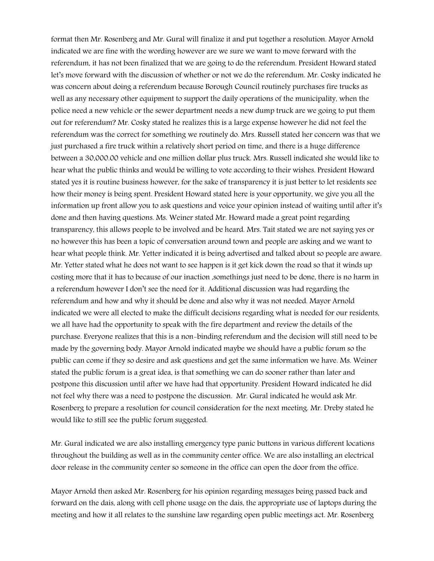format then Mr. Rosenberg and Mr. Gural will finalize it and put together a resolution. Mayor Arnold indicated we are fine with the wording however are we sure we want to move forward with the referendum, it has not been finalized that we are going to do the referendum. President Howard stated let's move forward with the discussion of whether or not we do the referendum. Mr. Cosky indicated he was concern about doing a referendum because Borough Council routinely purchases fire trucks as well as any necessary other equipment to support the daily operations of the municipality, when the police need a new vehicle or the sewer department needs a new dump truck are we going to put them out for referendum? Mr. Cosky stated he realizes this is a large expense however he did not feel the referendum was the correct for something we routinely do. Mrs. Russell stated her concern was that we just purchased a fire truck within a relatively short period on time, and there is a huge difference between a 30,000.00 vehicle and one million dollar plus truck. Mrs. Russell indicated she would like to hear what the public thinks and would be willing to vote according to their wishes. President Howard stated yes it is routine business however, for the sake of transparency it is just better to let residents see how their money is being spent. President Howard stated here is your opportunity, we give you all the information up front allow you to ask questions and voice your opinion instead of waiting until after it's done and then having questions. Ms. Weiner stated Mr. Howard made a great point regarding transparency, this allows people to be involved and be heard. Mrs. Tait stated we are not saying yes or no however this has been a topic of conversation around town and people are asking and we want to hear what people think. Mr. Yetter indicated it is being advertised and talked about so people are aware. Mr. Yetter stated what he does not want to see happen is it get kick down the road so that it winds up costing more that it has to because of our inaction ,somethings just need to be done, there is no harm in a referendum however I don't see the need for it. Additional discussion was had regarding the referendum and how and why it should be done and also why it was not needed. Mayor Arnold indicated we were all elected to make the difficult decisions regarding what is needed for our residents, we all have had the opportunity to speak with the fire department and review the details of the purchase. Everyone realizes that this is a non-binding referendum and the decision will still need to be made by the governing body. Mayor Arnold indicated maybe we should have a public forum so the public can come if they so desire and ask questions and get the same information we have. Ms. Weiner stated the public forum is a great idea, is that something we can do sooner rather than later and postpone this discussion until after we have had that opportunity. President Howard indicated he did not feel why there was a need to postpone the discussion. Mr. Gural indicated he would ask Mr. Rosenberg to prepare a resolution for council consideration for the next meeting. Mr. Dreby stated he would like to still see the public forum suggested.

Mr. Gural indicated we are also installing emergency type panic buttons in various different locations throughout the building as well as in the community center office. We are also installing an electrical door release in the community center so someone in the office can open the door from the office.

Mayor Arnold then asked Mr. Rosenberg for his opinion regarding messages being passed back and forward on the dais, along with cell phone usage on the dais, the appropriate use of laptops during the meeting and how it all relates to the sunshine law regarding open public meetings act. Mr. Rosenberg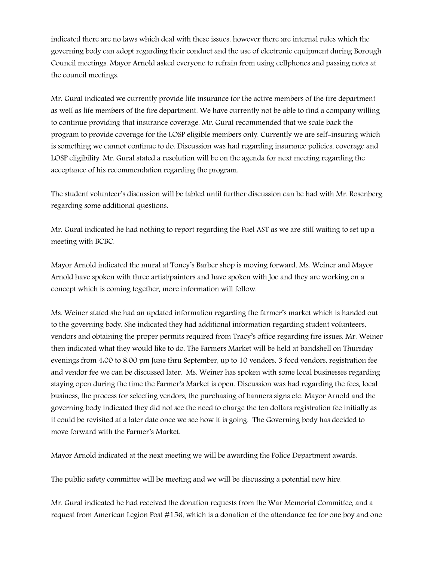indicated there are no laws which deal with these issues, however there are internal rules which the governing body can adopt regarding their conduct and the use of electronic equipment during Borough Council meetings. Mayor Arnold asked everyone to refrain from using cellphones and passing notes at the council meetings.

Mr. Gural indicated we currently provide life insurance for the active members of the fire department as well as life members of the fire department. We have currently not be able to find a company willing to continue providing that insurance coverage. Mr. Gural recommended that we scale back the program to provide coverage for the LOSP eligible members only. Currently we are self-insuring which is something we cannot continue to do. Discussion was had regarding insurance policies, coverage and LOSP eligibility. Mr. Gural stated a resolution will be on the agenda for next meeting regarding the acceptance of his recommendation regarding the program.

The student volunteer's discussion will be tabled until further discussion can be had with Mr. Rosenberg regarding some additional questions.

Mr. Gural indicated he had nothing to report regarding the Fuel AST as we are still waiting to set up a meeting with BCBC.

Mayor Arnold indicated the mural at Toney's Barber shop is moving forward, Ms. Weiner and Mayor Arnold have spoken with three artist/painters and have spoken with Joe and they are working on a concept which is coming together, more information will follow.

Ms. Weiner stated she had an updated information regarding the farmer's market which is handed out to the governing body. She indicated they had additional information regarding student volunteers, vendors and obtaining the proper permits required from Tracy's office regarding fire issues. Mr. Weiner then indicated what they would like to do. The Farmers Market will be held at bandshell on Thursday evenings from 4.00 to 8.00 pm June thru September, up to 10 vendors, 3 food vendors, registration fee and vendor fee we can be discussed later. Ms. Weiner has spoken with some local businesses regarding staying open during the time the Farmer's Market is open. Discussion was had regarding the fees, local business, the process for selecting vendors, the purchasing of banners signs etc. Mayor Arnold and the governing body indicated they did not see the need to charge the ten dollars registration fee initially as it could be revisited at a later date once we see how it is going. The Governing body has decided to move forward with the Farmer's Market.

Mayor Arnold indicated at the next meeting we will be awarding the Police Department awards.

The public safety committee will be meeting and we will be discussing a potential new hire.

Mr. Gural indicated he had received the donation requests from the War Memorial Committee, and a request from American Legion Post #156, which is a donation of the attendance fee for one boy and one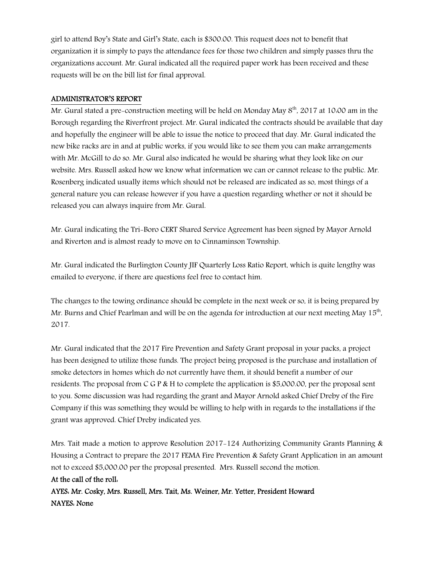girl to attend Boy's State and Girl's State, each is \$300.00. This request does not to benefit that organization it is simply to pays the attendance fees for those two children and simply passes thru the organizations account. Mr. Gural indicated all the required paper work has been received and these requests will be on the bill list for final approval.

#### ADMINISTRATOR'S REPORT

Mr. Gural stated a pre-construction meeting will be held on Monday May 8<sup>th</sup>, 2017 at 10:00 am in the Borough regarding the Riverfront project. Mr. Gural indicated the contracts should be available that day and hopefully the engineer will be able to issue the notice to proceed that day. Mr. Gural indicated the new bike racks are in and at public works, if you would like to see them you can make arrangements with Mr. McGill to do so. Mr. Gural also indicated he would be sharing what they look like on our website. Mrs. Russell asked how we know what information we can or cannot release to the public. Mr. Rosenberg indicated usually items which should not be released are indicated as so, most things of a general nature you can release however if you have a question regarding whether or not it should be released you can always inquire from Mr. Gural.

Mr. Gural indicating the Tri-Boro CERT Shared Service Agreement has been signed by Mayor Arnold and Riverton and is almost ready to move on to Cinnaminson Township.

Mr. Gural indicated the Burlington County JIF Quarterly Loss Ratio Report, which is quite lengthy was emailed to everyone, if there are questions feel free to contact him.

The changes to the towing ordinance should be complete in the next week or so, it is being prepared by Mr. Burns and Chief Pearlman and will be on the agenda for introduction at our next meeting May  $15^{\rm th}$ , 2017.

Mr. Gural indicated that the 2017 Fire Prevention and Safety Grant proposal in your packs, a project has been designed to utilize those funds. The project being proposed is the purchase and installation of smoke detectors in homes which do not currently have them, it should benefit a number of our residents. The proposal from C G P & H to complete the application is \$5,000.00, per the proposal sent to you. Some discussion was had regarding the grant and Mayor Arnold asked Chief Dreby of the Fire Company if this was something they would be willing to help with in regards to the installations if the grant was approved. Chief Dreby indicated yes.

Mrs. Tait made a motion to approve Resolution 2017-124 Authorizing Community Grants Planning & Housing a Contract to prepare the 2017 FEMA Fire Prevention & Safety Grant Application in an amount not to exceed \$5,000.00 per the proposal presented. Mrs. Russell second the motion.

At the call of the roll: AYES: Mr. Cosky, Mrs. Russell, Mrs. Tait, Ms. Weiner, Mr. Yetter, President Howard NAYES: None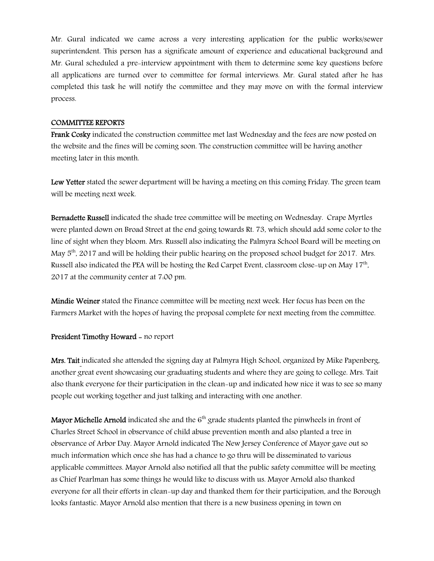Mr. Gural indicated we came across a very interesting application for the public works/sewer superintendent. This person has a significate amount of experience and educational background and Mr. Gural scheduled a pre-interview appointment with them to determine some key questions before all applications are turned over to committee for formal interviews. Mr. Gural stated after he has completed this task he will notify the committee and they may move on with the formal interview process.

#### COMMITTEE REPORTS

Frank Cosky indicated the construction committee met last Wednesday and the fees are now posted on the website and the fines will be coming soon. The construction committee will be having another meeting later in this month.

Lew Yetter stated the sewer department will be having a meeting on this coming Friday. The green team will be meeting next week.

Bernadette Russell indicated the shade tree committee will be meeting on Wednesday. Crape Myrtles were planted down on Broad Street at the end going towards Rt. 73, which should add some color to the line of sight when they bloom. Mrs. Russell also indicating the Palmyra School Board will be meeting on May  $5<sup>th</sup>$ , 2017 and will be holding their public hearing on the proposed school budget for 2017. Mrs. Russell also indicated the PEA will be hosting the Red Carpet Event, classroom close-up on May  $17^{\rm th}$ , 2017 at the community center at 7:00 pm.

Mindie Weiner stated the Finance committee will be meeting next week. Her focus has been on the Farmers Market with the hopes of having the proposal complete for next meeting from the committee.

#### President Timothy Howard - no report

Mrs. Tait indicated she attended the signing day at Palmyra High School, organized by Mike Papenberg, another great event showcasing our graduating students and where they are going to college. Mrs. Tait also thank everyone for their participation in the clean-up and indicated how nice it was to see so many people out working together and just talking and interacting with one another.

**Mayor Michelle Arnold** indicated she and the  $6<sup>th</sup>$  grade students planted the pinwheels in front of Charles Street School in observance of child abuse prevention month and also planted a tree in observance of Arbor Day. Mayor Arnold indicated The New Jersey Conference of Mayor gave out so much information which once she has had a chance to go thru will be disseminated to various applicable committees. Mayor Arnold also notified all that the public safety committee will be meeting as Chief Pearlman has some things he would like to discuss with us. Mayor Arnold also thanked everyone for all their efforts in clean-up day and thanked them for their participation, and the Borough looks fantastic. Mayor Arnold also mention that there is a new business opening in town on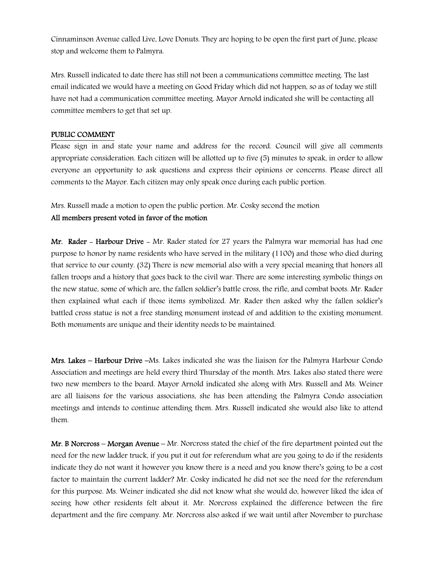Cinnaminson Avenue called Live, Love Donuts. They are hoping to be open the first part of June, please stop and welcome them to Palmyra.

Mrs. Russell indicated to date there has still not been a communications committee meeting. The last email indicated we would have a meeting on Good Friday which did not happen, so as of today we still have not had a communication committee meeting. Mayor Arnold indicated she will be contacting all committee members to get that set up.

#### PUBLIC COMMENT

Please sign in and state your name and address for the record. Council will give all comments appropriate consideration. Each citizen will be allotted up to five (5) minutes to speak, in order to allow everyone an opportunity to ask questions and express their opinions or concerns. Please direct all comments to the Mayor. Each citizen may only speak once during each public portion.

Mrs. Russell made a motion to open the public portion. Mr. Cosky second the motion

# All members present voted in favor of the motion

Mr. Rader - Harbour Drive - Mr. Rader stated for 27 years the Palmyra war memorial has had one purpose to honor by name residents who have served in the military (1100) and those who died during that service to our county. (32) There is new memorial also with a very special meaning that honors all fallen troops and a history that goes back to the civil war. There are some interesting symbolic things on the new statue, some of which are, the fallen soldier's battle cross, the rifle, and combat boots. Mr. Rader then explained what each if those items symbolized. Mr. Rader then asked why the fallen soldier's battled cross statue is not a free standing monument instead of and addition to the existing monument. Both monuments are unique and their identity needs to be maintained.

Mrs. Lakes – Harbour Drive –Ms. Lakes indicated she was the liaison for the Palmyra Harbour Condo Association and meetings are held every third Thursday of the month. Mrs. Lakes also stated there were two new members to the board. Mayor Arnold indicated she along with Mrs. Russell and Ms. Weiner are all liaisons for the various associations, she has been attending the Palmyra Condo association meetings and intends to continue attending them. Mrs. Russell indicated she would also like to attend them.

Mr. B Norcross – Morgan Avenue – Mr. Norcross stated the chief of the fire department pointed out the need for the new ladder truck, if you put it out for referendum what are you going to do if the residents indicate they do not want it however you know there is a need and you know there's going to be a cost factor to maintain the current ladder? Mr. Cosky indicated he did not see the need for the referendum for this purpose. Ms. Weiner indicated she did not know what she would do, however liked the idea of seeing how other residents felt about it. Mr. Norcross explained the difference between the fire department and the fire company. Mr. Norcross also asked if we wait until after November to purchase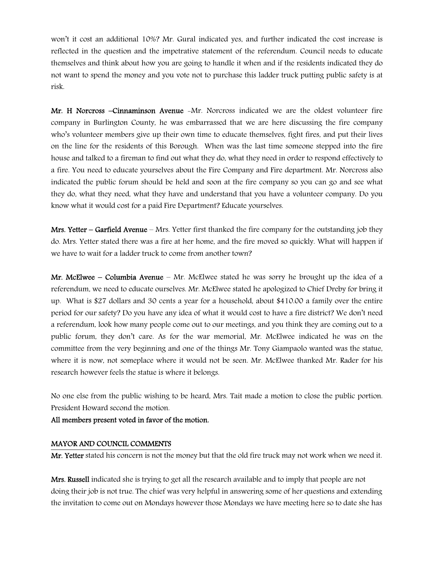won't it cost an additional 10%? Mr. Gural indicated yes, and further indicated the cost increase is reflected in the question and the impetrative statement of the referendum. Council needs to educate themselves and think about how you are going to handle it when and if the residents indicated they do not want to spend the money and you vote not to purchase this ladder truck putting public safety is at risk.

Mr. H Norcross –Cinnaminson Avenue -Mr. Norcross indicated we are the oldest volunteer fire company in Burlington County, he was embarrassed that we are here discussing the fire company who's volunteer members give up their own time to educate themselves, fight fires, and put their lives on the line for the residents of this Borough. When was the last time someone stepped into the fire house and talked to a fireman to find out what they do, what they need in order to respond effectively to a fire. You need to educate yourselves about the Fire Company and Fire department. Mr. Norcross also indicated the public forum should be held and soon at the fire company so you can go and see what they do, what they need, what they have and understand that you have a volunteer company. Do you know what it would cost for a paid Fire Department? Educate yourselves.

Mrs. Yetter – Garfield Avenue – Mrs. Yetter first thanked the fire company for the outstanding job they do. Mrs. Yetter stated there was a fire at her home, and the fire moved so quickly. What will happen if we have to wait for a ladder truck to come from another town?

Mr. McElwee – Columbia Avenue – Mr. McElwee stated he was sorry he brought up the idea of a referendum, we need to educate ourselves. Mr. McElwee stated he apologized to Chief Dreby for bring it up. What is \$27 dollars and 30 cents a year for a household, about \$410.00 a family over the entire period for our safety? Do you have any idea of what it would cost to have a fire district? We don't need a referendum, look how many people come out to our meetings, and you think they are coming out to a public forum, they don't care. As for the war memorial, Mr. McElwee indicated he was on the committee from the very beginning and one of the things Mr. Tony Giampaolo wanted was the statue, where it is now, not someplace where it would not be seen. Mr. McElwee thanked Mr. Rader for his research however feels the statue is where it belongs.

No one else from the public wishing to be heard, Mrs. Tait made a motion to close the public portion. President Howard second the motion.

All members present voted in favor of the motion.

#### MAYOR AND COUNCIL COMMENTS

Mr. Yetter stated his concern is not the money but that the old fire truck may not work when we need it.

Mrs. Russell indicated she is trying to get all the research available and to imply that people are not doing their job is not true. The chief was very helpful in answering some of her questions and extending the invitation to come out on Mondays however those Mondays we have meeting here so to date she has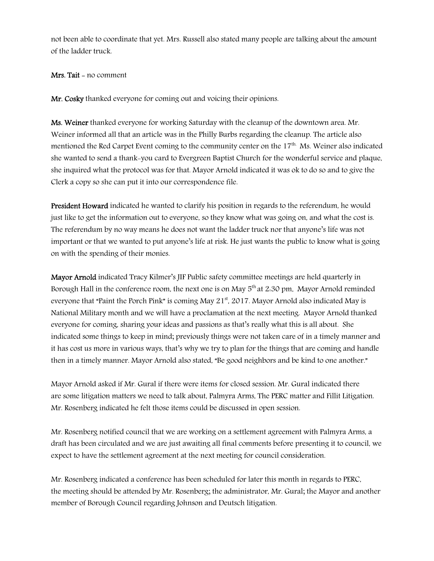not been able to coordinate that yet. Mrs. Russell also stated many people are talking about the amount of the ladder truck.

#### Mrs. Tait - no comment

Mr. Cosky thanked everyone for coming out and voicing their opinions.

Ms. Weiner thanked everyone for working Saturday with the cleanup of the downtown area. Mr. Weiner informed all that an article was in the Philly Burbs regarding the cleanup. The article also mentioned the Red Carpet Event coming to the community center on the 17<sup>th.</sup> Ms. Weiner also indicated she wanted to send a thank-you card to Evergreen Baptist Church for the wonderful service and plaque, she inquired what the protocol was for that. Mayor Arnold indicated it was ok to do so and to give the Clerk a copy so she can put it into our correspondence file.

President Howard indicated he wanted to clarify his position in regards to the referendum, he would just like to get the information out to everyone, so they know what was going on, and what the cost is. The referendum by no way means he does not want the ladder truck nor that anyone's life was not important or that we wanted to put anyone's life at risk. He just wants the public to know what is going on with the spending of their monies.

Mayor Arnold indicated Tracy Kilmer's JIF Public safety committee meetings are held quarterly in Borough Hall in the conference room, the next one is on May  $5<sup>th</sup>$  at 2.30 pm. Mayor Arnold reminded everyone that "Paint the Porch Pink" is coming May  $21<sup>st</sup>$ , 2017. Mayor Arnold also indicated May is National Military month and we will have a proclamation at the next meeting. Mayor Arnold thanked everyone for coming, sharing your ideas and passions as that's really what this is all about. She indicated some things to keep in mind; previously things were not taken care of in a timely manner and it has cost us more in various ways, that's why we try to plan for the things that are coming and handle then in a timely manner. Mayor Arnold also stated, "Be good neighbors and be kind to one another."

Mayor Arnold asked if Mr. Gural if there were items for closed session. Mr. Gural indicated there are some litigation matters we need to talk about, Palmyra Arms, The PERC matter and Fillit Litigation. Mr. Rosenberg indicated he felt those items could be discussed in open session.

Mr. Rosenberg notified council that we are working on a settlement agreement with Palmyra Arms, a draft has been circulated and we are just awaiting all final comments before presenting it to council, we expect to have the settlement agreement at the next meeting for council consideration.

Mr. Rosenberg indicated a conference has been scheduled for later this month in regards to PERC, the meeting should be attended by Mr. Rosenberg; the administrator, Mr. Gural; the Mayor and another member of Borough Council regarding Johnson and Deutsch litigation.